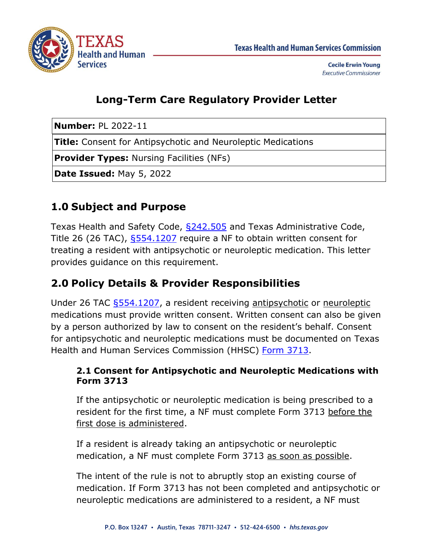

**Cecile Erwin Young Executive Commissioner** 

# **Long-Term Care Regulatory Provider Letter**

**Number:** PL 2022-11

**Title:** Consent for Antipsychotic and Neuroleptic Medications

**Provider Types:** Nursing Facilities (NFs)

**Date Issued:** May 5, 2022

### **1.0 Subject and Purpose**

Texas Health and Safety Code, [§242.505](https://statutes.capitol.texas.gov/Docs/HS/htm/HS.242.htm) and Texas Administrative Code, Title 26 (26 TAC), \$554.1207 require a NF to obtain written consent for treating a resident with antipsychotic or neuroleptic medication. This letter provides guidance on this requirement.

### **2.0 Policy Details & Provider Responsibilities**

Under 26 TAC [§554.1207,](https://texreg.sos.state.tx.us/public/readtac$ext.TacPage?sl=R&app=9&p_dir=&p_rloc=&p_tloc=&p_ploc=&pg=1&p_tac=&ti=26&pt=1&ch=554&rl=1207) a resident receiving antipsychotic or neuroleptic medications must provide written consent. Written consent can also be given by a person authorized by law to consent on the resident's behalf. Consent for antipsychotic and neuroleptic medications must be documented on Texas Health and Human Services Commission (HHSC) [Form 3713.](https://www.hhs.texas.gov/regulations/forms/3000-3999/form-3713-consent-antipsychotic-or-neuroleptic-medication-treatment)

#### **2.1 Consent for Antipsychotic and Neuroleptic Medications with Form 3713**

If the antipsychotic or neuroleptic medication is being prescribed to a resident for the first time, a NF must complete Form 3713 before the first dose is administered.

If a resident is already taking an antipsychotic or neuroleptic medication, a NF must complete Form 3713 as soon as possible.

The intent of the rule is not to abruptly stop an existing course of medication. If Form 3713 has not been completed and antipsychotic or neuroleptic medications are administered to a resident, a NF must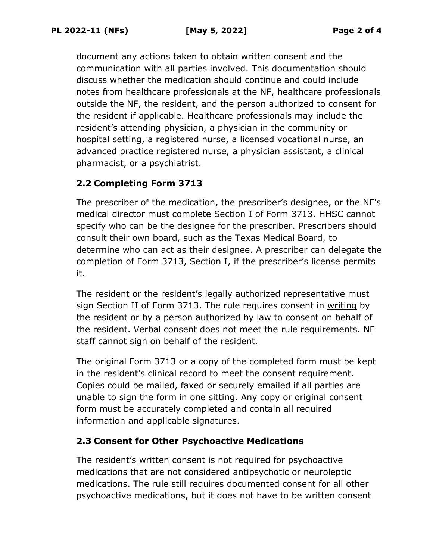document any actions taken to obtain written consent and the communication with all parties involved. This documentation should discuss whether the medication should continue and could include notes from healthcare professionals at the NF, healthcare professionals outside the NF, the resident, and the person authorized to consent for the resident if applicable. Healthcare professionals may include the resident's attending physician, a physician in the community or hospital setting, a registered nurse, a licensed vocational nurse, an advanced practice registered nurse, a physician assistant, a clinical pharmacist, or a psychiatrist.

### **2.2 Completing Form 3713**

The prescriber of the medication, the prescriber's designee, or the NF's medical director must complete Section I of Form 3713. HHSC cannot specify who can be the designee for the prescriber. Prescribers should consult their own board, such as the Texas Medical Board, to determine who can act as their designee. A prescriber can delegate the completion of Form 3713, Section I, if the prescriber's license permits it.

The resident or the resident's legally authorized representative must sign Section II of Form 3713. The rule requires consent in writing by the resident or by a person authorized by law to consent on behalf of the resident. Verbal consent does not meet the rule requirements. NF staff cannot sign on behalf of the resident.

The original Form 3713 or a copy of the completed form must be kept in the resident's clinical record to meet the consent requirement. Copies could be mailed, faxed or securely emailed if all parties are unable to sign the form in one sitting. Any copy or original consent form must be accurately completed and contain all required information and applicable signatures.

### **2.3 Consent for Other Psychoactive Medications**

The resident's written consent is not required for psychoactive medications that are not considered antipsychotic or neuroleptic medications. The rule still requires documented consent for all other psychoactive medications, but it does not have to be written consent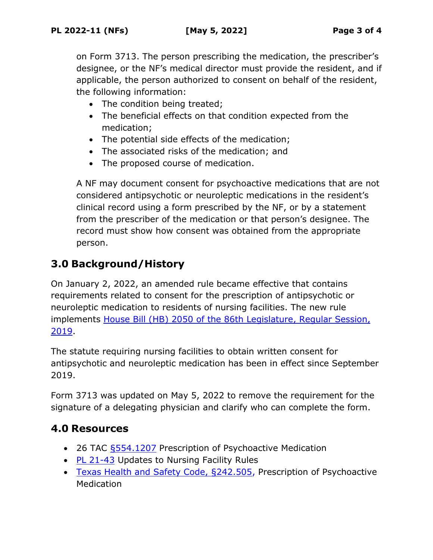on Form 3713. The person prescribing the medication, the prescriber's designee, or the NF's medical director must provide the resident, and if applicable, the person authorized to consent on behalf of the resident, the following information:

- The condition being treated;
- The beneficial effects on that condition expected from the medication;
- The potential side effects of the medication;
- The associated risks of the medication; and
- The proposed course of medication.

A NF may document consent for psychoactive medications that are not considered antipsychotic or neuroleptic medications in the resident's clinical record using a form prescribed by the NF, or by a statement from the prescriber of the medication or that person's designee. The record must show how consent was obtained from the appropriate person.

# **3.0 Background/History**

On January 2, 2022, an amended rule became effective that contains requirements related to consent for the prescription of antipsychotic or neuroleptic medication to residents of nursing facilities. The new rule implements [House Bill \(HB\) 2050](https://capitol.texas.gov/tlodocs/86R/billtext/pdf/HB02050F.pdf#navpanes=0) of the 86th Legislature, Regular Session, 2019.

The statute requiring nursing facilities to obtain written consent for antipsychotic and neuroleptic medication has been in effect since September 2019.

Form 3713 was updated on May 5, 2022 to remove the requirement for the signature of a delegating physician and clarify who can complete the form.

### **4.0 Resources**

- 26 TAC [§554.1207](https://texreg.sos.state.tx.us/public/readtac$ext.TacPage?sl=R&app=9&p_dir=&p_rloc=&p_tloc=&p_ploc=&pg=1&p_tac=&ti=26&pt=1&ch=554&rl=1207) Prescription of Psychoactive Medication
- [PL 21-43](https://www.hhs.texas.gov/sites/default/files/documents/PL2021-43.pdf) Updates to Nursing Facility Rules
- [Texas Health and Safety Code, §242.505,](https://statutes.capitol.texas.gov/Docs/HS/htm/HS.242.htm) Prescription of Psychoactive **Medication**